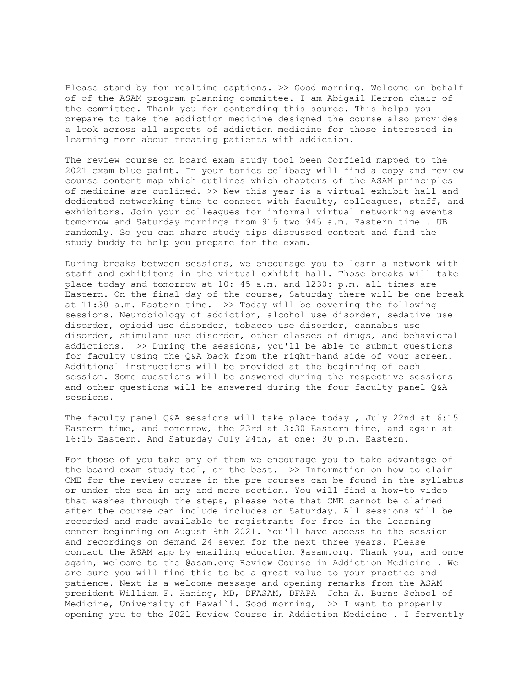Please stand by for realtime captions. > Sood morning. Welcome on behalf of of the ASAM program planning committee. I am Abigail Herron chair of the committee. Thank you for contending this source. This helps you prepare to take the addiction medicine designed the course also provides a look across all aspects of addiction medicine for those interested in learning more about treating patients with addiction.

The review course on board exam study tool been Corfield mapped to the 2021 exam blue paint. In your tonics celibacy will find a copy and review course content map which outlines which chapters of the ASAM principles of medicine are outlined. >> New this year is a virtual exhibit hall and dedicated networking time to connect with faculty, colleagues, staff, and exhibitors. Join your colleagues for informal virtual networking events tomorrow and Saturday mornings from 915 two 945 a.m. Eastern time . UB randomly. So you can share study tips discussed content and find the study buddy to help you prepare for the exam.

During breaks between sessions, we encourage you to learn a network with staff and exhibitors in the virtual exhibit hall. Those breaks will take place today and tomorrow at 10: 45 a.m. and 1230: p.m. all times are Eastern. On the final day of the course, Saturday there will be one break at  $11:30$  a.m. Eastern time.  $\gg$  Today will be covering the following sessions. Neurobiology of addiction, alcohol use disorder, sedative use disorder, opioid use disorder, tobacco use disorder, cannabis use disorder, stimulant use disorder, other classes of drugs, and behavioral addictions. >> During the sessions, you'll be able to submit questions for faculty using the Q&A back from the right-hand side of your screen. Additional instructions will be provided at the beginning of each session. Some questions will be answered during the respective sessions and other questions will be answered during the four faculty panel Q&A sessions.

The faculty panel Q&A sessions will take place today, July 22nd at 6:15 Eastern time, and tomorrow, the 23rd at 3:30 Eastern time, and again at 16:15 Eastern. And Saturday July 24th, at one: 30 p.m. Eastern.

For those of you take any of them we encourage you to take advantage of the board exam study tool, or the best. >> Information on how to claim CME for the review course in the pre-courses can be found in the syllabus or under the sea in any and more section. You will find a how-to video that washes through the steps, please note that CME cannot be claimed after the course can include includes on Saturday. All sessions will be recorded and made available to registrants for free in the learning center beginning on August 9th 2021. You'll have access to the session and recordings on demand 24 seven for the next three years. Please contact the ASAM app by emailing education @asam.org. Thank you, and once again, welcome to the @asam.org Review Course in Addiction Medicine . We are sure you will find this to be a great value to your practice and patience. Next is a welcome message and opening remarks from the ASAM president William F. Haning, MD, DFASAM, DFAPA John A. Burns School of Medicine, University of Hawai`i. Good morning, >> I want to properly opening you to the 2021 Review Course in Addiction Medicine . I fervently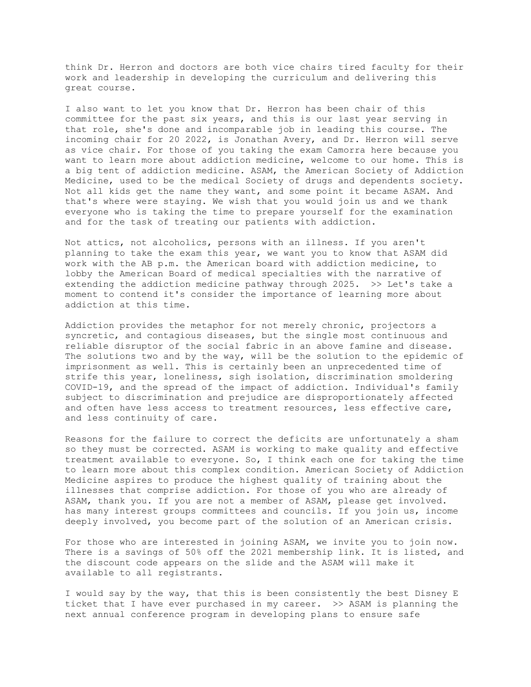think Dr. Herron and doctors are both vice chairs tired faculty for their work and leadership in developing the curriculum and delivering this great course.

I also want to let you know that Dr. Herron has been chair of this committee for the past six years, and this is our last year serving in that role, she's done and incomparable job in leading this course. The incoming chair for 20 2022, is Jonathan Avery, and Dr. Herron will serve as vice chair. For those of you taking the exam Camorra here because you want to learn more about addiction medicine, welcome to our home. This is a big tent of addiction medicine. ASAM, the American Society of Addiction Medicine, used to be the medical Society of drugs and dependents society. Not all kids get the name they want, and some point it became ASAM. And that's where were staying. We wish that you would join us and we thank everyone who is taking the time to prepare yourself for the examination and for the task of treating our patients with addiction.

Not attics, not alcoholics, persons with an illness. If you aren't planning to take the exam this year, we want you to know that ASAM did work with the AB p.m. the American board with addiction medicine, to lobby the American Board of medical specialties with the narrative of extending the addiction medicine pathway through 2025. >> Let's take a moment to contend it's consider the importance of learning more about addiction at this time.

Addiction provides the metaphor for not merely chronic, projectors a syncretic, and contagious diseases, but the single most continuous and reliable disruptor of the social fabric in an above famine and disease. The solutions two and by the way, will be the solution to the epidemic of imprisonment as well. This is certainly been an unprecedented time of strife this year, loneliness, sigh isolation, discrimination smoldering COVID-19, and the spread of the impact of addiction. Individual's family subject to discrimination and prejudice are disproportionately affected and often have less access to treatment resources, less effective care, and less continuity of care.

Reasons for the failure to correct the deficits are unfortunately a sham so they must be corrected. ASAM is working to make quality and effective treatment available to everyone. So, I think each one for taking the time to learn more about this complex condition. American Society of Addiction Medicine aspires to produce the highest quality of training about the illnesses that comprise addiction. For those of you who are already of ASAM, thank you. If you are not a member of ASAM, please get involved. has many interest groups committees and councils. If you join us, income deeply involved, you become part of the solution of an American crisis.

For those who are interested in joining ASAM, we invite you to join now. There is a savings of 50% off the 2021 membership link. It is listed, and the discount code appears on the slide and the ASAM will make it available to all registrants.

I would say by the way, that this is been consistently the best Disney E ticket that I have ever purchased in my career. >> ASAM is planning the next annual conference program in developing plans to ensure safe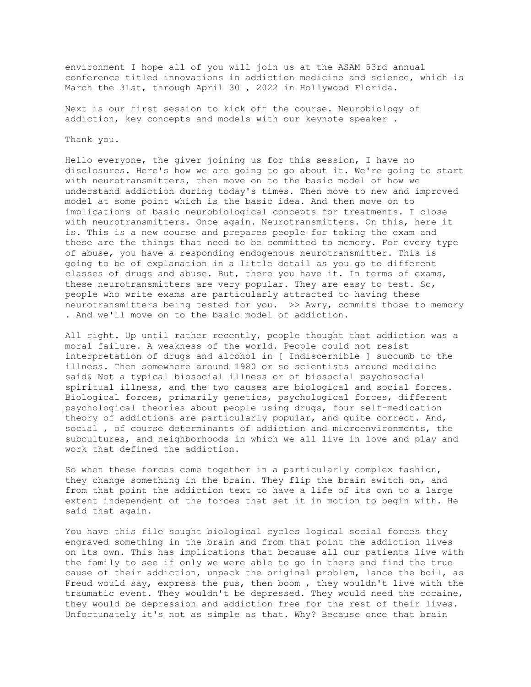environment I hope all of you will join us at the ASAM 53rd annual conference titled innovations in addiction medicine and science, which is March the 31st, through April 30 , 2022 in Hollywood Florida.

Next is our first session to kick off the course. Neurobiology of addiction, key concepts and models with our keynote speaker .

## Thank you.

Hello everyone, the giver joining us for this session, I have no disclosures. Here's how we are going to go about it. We're going to start with neurotransmitters, then move on to the basic model of how we understand addiction during today's times. Then move to new and improved model at some point which is the basic idea. And then move on to implications of basic neurobiological concepts for treatments. I close with neurotransmitters. Once again. Neurotransmitters. On this, here it is. This is a new course and prepares people for taking the exam and these are the things that need to be committed to memory. For every type of abuse, you have a responding endogenous neurotransmitter. This is going to be of explanation in a little detail as you go to different classes of drugs and abuse. But, there you have it. In terms of exams, these neurotransmitters are very popular. They are easy to test. So, people who write exams are particularly attracted to having these neurotransmitters being tested for you. >> Awry, commits those to memory . And we'll move on to the basic model of addiction.

All right. Up until rather recently, people thought that addiction was a moral failure. A weakness of the world. People could not resist interpretation of drugs and alcohol in [ Indiscernible ] succumb to the illness. Then somewhere around 1980 or so scientists around medicine said& Not a typical biosocial illness or of biosocial psychosocial spiritual illness, and the two causes are biological and social forces. Biological forces, primarily genetics, psychological forces, different psychological theories about people using drugs, four self-medication theory of addictions are particularly popular, and quite correct. And, social , of course determinants of addiction and microenvironments, the subcultures, and neighborhoods in which we all live in love and play and work that defined the addiction.

So when these forces come together in a particularly complex fashion, they change something in the brain. They flip the brain switch on, and from that point the addiction text to have a life of its own to a large extent independent of the forces that set it in motion to begin with. He said that again.

You have this file sought biological cycles logical social forces they engraved something in the brain and from that point the addiction lives on its own. This has implications that because all our patients live with the family to see if only we were able to go in there and find the true cause of their addiction, unpack the original problem, lance the boil, as Freud would say, express the pus, then boom , they wouldn't live with the traumatic event. They wouldn't be depressed. They would need the cocaine, they would be depression and addiction free for the rest of their lives. Unfortunately it's not as simple as that. Why? Because once that brain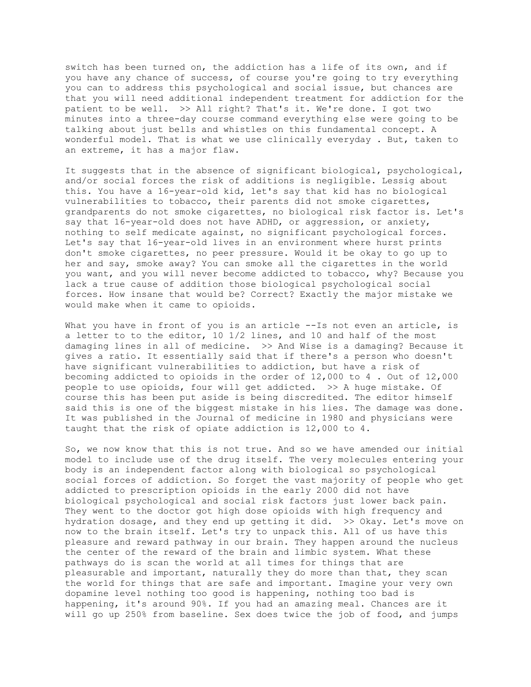switch has been turned on, the addiction has a life of its own, and if you have any chance of success, of course you're going to try everything you can to address this psychological and social issue, but chances are that you will need additional independent treatment for addiction for the patient to be well. >> All right? That's it. We're done. I got two minutes into a three-day course command everything else were going to be talking about just bells and whistles on this fundamental concept. A wonderful model. That is what we use clinically everyday . But, taken to an extreme, it has a major flaw.

It suggests that in the absence of significant biological, psychological, and/or social forces the risk of additions is negligible. Lessig about this. You have a 16-year-old kid, let's say that kid has no biological vulnerabilities to tobacco, their parents did not smoke cigarettes, grandparents do not smoke cigarettes, no biological risk factor is. Let's say that 16-year-old does not have ADHD, or aggression, or anxiety, nothing to self medicate against, no significant psychological forces. Let's say that 16-year-old lives in an environment where hurst prints don't smoke cigarettes, no peer pressure. Would it be okay to go up to her and say, smoke away? You can smoke all the cigarettes in the world you want, and you will never become addicted to tobacco, why? Because you lack a true cause of addition those biological psychological social forces. How insane that would be? Correct? Exactly the major mistake we would make when it came to opioids.

What you have in front of you is an article --Is not even an article, is a letter to to the editor, 10 1/2 lines, and 10 and half of the most damaging lines in all of medicine. >> And Wise is a damaging? Because it gives a ratio. It essentially said that if there's a person who doesn't have significant vulnerabilities to addiction, but have a risk of becoming addicted to opioids in the order of 12,000 to 4 . Out of 12,000 people to use opioids, four will get addicted. >> A huge mistake. Of course this has been put aside is being discredited. The editor himself said this is one of the biggest mistake in his lies. The damage was done. It was published in the Journal of medicine in 1980 and physicians were taught that the risk of opiate addiction is 12,000 to 4.

So, we now know that this is not true. And so we have amended our initial model to include use of the drug itself. The very molecules entering your body is an independent factor along with biological so psychological social forces of addiction. So forget the vast majority of people who get addicted to prescription opioids in the early 2000 did not have biological psychological and social risk factors just lower back pain. They went to the doctor got high dose opioids with high frequency and hydration dosage, and they end up getting it did. >> Okay. Let's move on now to the brain itself. Let's try to unpack this. All of us have this pleasure and reward pathway in our brain. They happen around the nucleus the center of the reward of the brain and limbic system. What these pathways do is scan the world at all times for things that are pleasurable and important, naturally they do more than that, they scan the world for things that are safe and important. Imagine your very own dopamine level nothing too good is happening, nothing too bad is happening, it's around 90%. If you had an amazing meal. Chances are it will go up 250% from baseline. Sex does twice the job of food, and jumps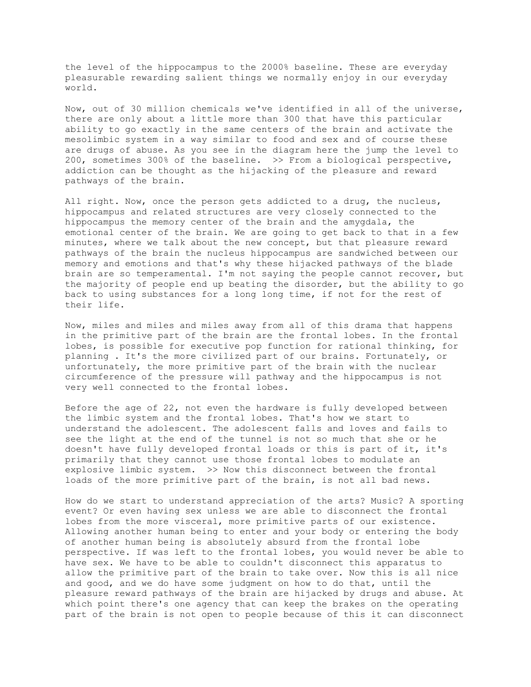the level of the hippocampus to the 2000% baseline. These are everyday pleasurable rewarding salient things we normally enjoy in our everyday world.

Now, out of 30 million chemicals we've identified in all of the universe, there are only about a little more than 300 that have this particular ability to go exactly in the same centers of the brain and activate the mesolimbic system in a way similar to food and sex and of course these are drugs of abuse. As you see in the diagram here the jump the level to 200, sometimes 300% of the baseline. >> From a biological perspective, addiction can be thought as the hijacking of the pleasure and reward pathways of the brain.

All right. Now, once the person gets addicted to a drug, the nucleus, hippocampus and related structures are very closely connected to the hippocampus the memory center of the brain and the amygdala, the emotional center of the brain. We are going to get back to that in a few minutes, where we talk about the new concept, but that pleasure reward pathways of the brain the nucleus hippocampus are sandwiched between our memory and emotions and that's why these hijacked pathways of the blade brain are so temperamental. I'm not saying the people cannot recover, but the majority of people end up beating the disorder, but the ability to go back to using substances for a long long time, if not for the rest of their life.

Now, miles and miles and miles away from all of this drama that happens in the primitive part of the brain are the frontal lobes. In the frontal lobes, is possible for executive pop function for rational thinking, for planning . It's the more civilized part of our brains. Fortunately, or unfortunately, the more primitive part of the brain with the nuclear circumference of the pressure will pathway and the hippocampus is not very well connected to the frontal lobes.

Before the age of 22, not even the hardware is fully developed between the limbic system and the frontal lobes. That's how we start to understand the adolescent. The adolescent falls and loves and fails to see the light at the end of the tunnel is not so much that she or he doesn't have fully developed frontal loads or this is part of it, it's primarily that they cannot use those frontal lobes to modulate an explosive limbic system. >> Now this disconnect between the frontal loads of the more primitive part of the brain, is not all bad news.

How do we start to understand appreciation of the arts? Music? A sporting event? Or even having sex unless we are able to disconnect the frontal lobes from the more visceral, more primitive parts of our existence. Allowing another human being to enter and your body or entering the body of another human being is absolutely absurd from the frontal lobe perspective. If was left to the frontal lobes, you would never be able to have sex. We have to be able to couldn't disconnect this apparatus to allow the primitive part of the brain to take over. Now this is all nice and good, and we do have some judgment on how to do that, until the pleasure reward pathways of the brain are hijacked by drugs and abuse. At which point there's one agency that can keep the brakes on the operating part of the brain is not open to people because of this it can disconnect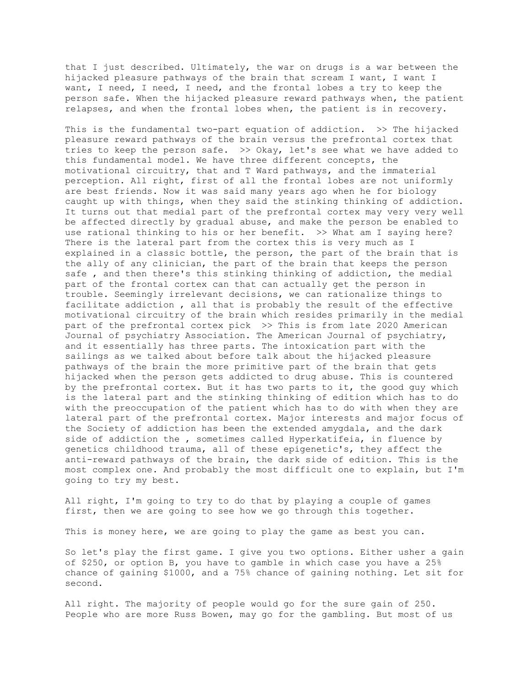that I just described. Ultimately, the war on drugs is a war between the hijacked pleasure pathways of the brain that scream I want, I want I want, I need, I need, I need, and the frontal lobes a try to keep the person safe. When the hijacked pleasure reward pathways when, the patient relapses, and when the frontal lobes when, the patient is in recovery.

This is the fundamental two-part equation of addiction. >> The hijacked pleasure reward pathways of the brain versus the prefrontal cortex that tries to keep the person safe. >> Okay, let's see what we have added to this fundamental model. We have three different concepts, the motivational circuitry, that and T Ward pathways, and the immaterial perception. All right, first of all the frontal lobes are not uniformly are best friends. Now it was said many years ago when he for biology caught up with things, when they said the stinking thinking of addiction. It turns out that medial part of the prefrontal cortex may very very well be affected directly by gradual abuse, and make the person be enabled to use rational thinking to his or her benefit. >> What am I saying here? There is the lateral part from the cortex this is very much as I explained in a classic bottle, the person, the part of the brain that is the ally of any clinician, the part of the brain that keeps the person safe , and then there's this stinking thinking of addiction, the medial part of the frontal cortex can that can actually get the person in trouble. Seemingly irrelevant decisions, we can rationalize things to facilitate addiction , all that is probably the result of the effective motivational circuitry of the brain which resides primarily in the medial part of the prefrontal cortex pick >> This is from late 2020 American Journal of psychiatry Association. The American Journal of psychiatry, and it essentially has three parts. The intoxication part with the sailings as we talked about before talk about the hijacked pleasure pathways of the brain the more primitive part of the brain that gets hijacked when the person gets addicted to drug abuse. This is countered by the prefrontal cortex. But it has two parts to it, the good guy which is the lateral part and the stinking thinking of edition which has to do with the preoccupation of the patient which has to do with when they are lateral part of the prefrontal cortex. Major interests and major focus of the Society of addiction has been the extended amygdala, and the dark side of addiction the , sometimes called Hyperkatifeia, in fluence by genetics childhood trauma, all of these epigenetic's, they affect the anti-reward pathways of the brain, the dark side of edition. This is the most complex one. And probably the most difficult one to explain, but I'm going to try my best.

All right, I'm going to try to do that by playing a couple of games first, then we are going to see how we go through this together.

This is money here, we are going to play the game as best you can.

So let's play the first game. I give you two options. Either usher a gain of \$250, or option B, you have to gamble in which case you have a 25% chance of gaining \$1000, and a 75% chance of gaining nothing. Let sit for second.

All right. The majority of people would go for the sure gain of 250. People who are more Russ Bowen, may go for the gambling. But most of us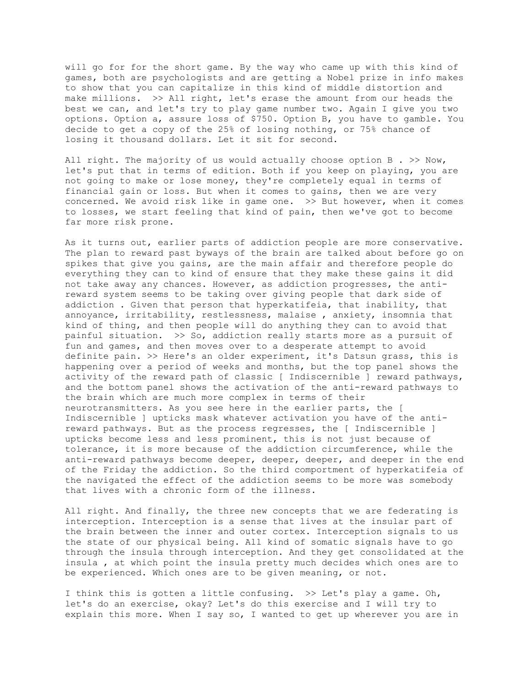will go for for the short game. By the way who came up with this kind of games, both are psychologists and are getting a Nobel prize in info makes to show that you can capitalize in this kind of middle distortion and make millions. >> All right, let's erase the amount from our heads the best we can, and let's try to play game number two. Again I give you two options. Option a, assure loss of \$750. Option B, you have to gamble. You decide to get a copy of the 25% of losing nothing, or 75% chance of losing it thousand dollars. Let it sit for second.

All right. The majority of us would actually choose option  $B \rightarrow \infty$  Now, let's put that in terms of edition. Both if you keep on playing, you are not going to make or lose money, they're completely equal in terms of financial gain or loss. But when it comes to gains, then we are very concerned. We avoid risk like in game one. >> But however, when it comes to losses, we start feeling that kind of pain, then we've got to become far more risk prone.

As it turns out, earlier parts of addiction people are more conservative. The plan to reward past byways of the brain are talked about before go on spikes that give you gains, are the main affair and therefore people do everything they can to kind of ensure that they make these gains it did not take away any chances. However, as addiction progresses, the antireward system seems to be taking over giving people that dark side of addiction . Given that person that hyperkatifeia, that inability, that annoyance, irritability, restlessness, malaise , anxiety, insomnia that kind of thing, and then people will do anything they can to avoid that painful situation. >> So, addiction really starts more as a pursuit of fun and games, and then moves over to a desperate attempt to avoid definite pain. >> Here's an older experiment, it's Datsun grass, this is happening over a period of weeks and months, but the top panel shows the activity of the reward path of classic [ Indiscernible ] reward pathways, and the bottom panel shows the activation of the anti-reward pathways to the brain which are much more complex in terms of their neurotransmitters. As you see here in the earlier parts, the [ Indiscernible ] upticks mask whatever activation you have of the antireward pathways. But as the process regresses, the [ Indiscernible ] upticks become less and less prominent, this is not just because of tolerance, it is more because of the addiction circumference, while the anti-reward pathways become deeper, deeper, deeper, and deeper in the end of the Friday the addiction. So the third comportment of hyperkatifeia of the navigated the effect of the addiction seems to be more was somebody that lives with a chronic form of the illness.

All right. And finally, the three new concepts that we are federating is interception. Interception is a sense that lives at the insular part of the brain between the inner and outer cortex. Interception signals to us the state of our physical being. All kind of somatic signals have to go through the insula through interception. And they get consolidated at the insula , at which point the insula pretty much decides which ones are to be experienced. Which ones are to be given meaning, or not.

I think this is gotten a little confusing. >> Let's play a game. Oh, let's do an exercise, okay? Let's do this exercise and I will try to explain this more. When I say so, I wanted to get up wherever you are in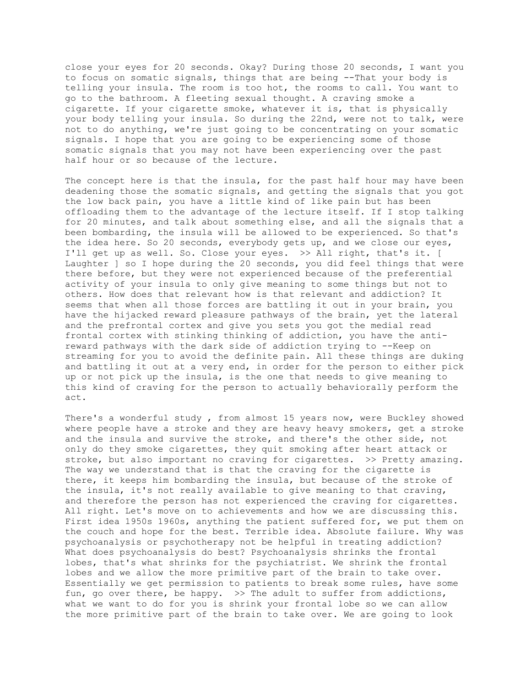close your eyes for 20 seconds. Okay? During those 20 seconds, I want you to focus on somatic signals, things that are being --That your body is telling your insula. The room is too hot, the rooms to call. You want to go to the bathroom. A fleeting sexual thought. A craving smoke a cigarette. If your cigarette smoke, whatever it is, that is physically your body telling your insula. So during the 22nd, were not to talk, were not to do anything, we're just going to be concentrating on your somatic signals. I hope that you are going to be experiencing some of those somatic signals that you may not have been experiencing over the past half hour or so because of the lecture.

The concept here is that the insula, for the past half hour may have been deadening those the somatic signals, and getting the signals that you got the low back pain, you have a little kind of like pain but has been offloading them to the advantage of the lecture itself. If I stop talking for 20 minutes, and talk about something else, and all the signals that a been bombarding, the insula will be allowed to be experienced. So that's the idea here. So 20 seconds, everybody gets up, and we close our eyes, I'll get up as well. So. Close your eyes. >> All right, that's it. [ Laughter ] so I hope during the 20 seconds, you did feel things that were there before, but they were not experienced because of the preferential activity of your insula to only give meaning to some things but not to others. How does that relevant how is that relevant and addiction? It seems that when all those forces are battling it out in your brain, you have the hijacked reward pleasure pathways of the brain, yet the lateral and the prefrontal cortex and give you sets you got the medial read frontal cortex with stinking thinking of addiction, you have the antireward pathways with the dark side of addiction trying to --Keep on streaming for you to avoid the definite pain. All these things are duking and battling it out at a very end, in order for the person to either pick up or not pick up the insula, is the one that needs to give meaning to this kind of craving for the person to actually behaviorally perform the act.

There's a wonderful study , from almost 15 years now, were Buckley showed where people have a stroke and they are heavy heavy smokers, get a stroke and the insula and survive the stroke, and there's the other side, not only do they smoke cigarettes, they quit smoking after heart attack or stroke, but also important no craving for cigarettes. >> Pretty amazing. The way we understand that is that the craving for the cigarette is there, it keeps him bombarding the insula, but because of the stroke of the insula, it's not really available to give meaning to that craving, and therefore the person has not experienced the craving for cigarettes. All right. Let's move on to achievements and how we are discussing this. First idea 1950s 1960s, anything the patient suffered for, we put them on the couch and hope for the best. Terrible idea. Absolute failure. Why was psychoanalysis or psychotherapy not be helpful in treating addiction? What does psychoanalysis do best? Psychoanalysis shrinks the frontal lobes, that's what shrinks for the psychiatrist. We shrink the frontal lobes and we allow the more primitive part of the brain to take over. Essentially we get permission to patients to break some rules, have some fun, go over there, be happy. >> The adult to suffer from addictions, what we want to do for you is shrink your frontal lobe so we can allow the more primitive part of the brain to take over. We are going to look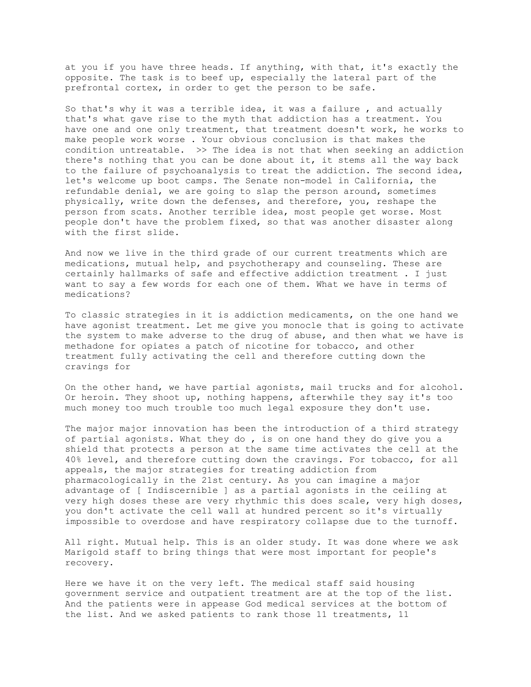at you if you have three heads. If anything, with that, it's exactly the opposite. The task is to beef up, especially the lateral part of the prefrontal cortex, in order to get the person to be safe.

So that's why it was a terrible idea, it was a failure , and actually that's what gave rise to the myth that addiction has a treatment. You have one and one only treatment, that treatment doesn't work, he works to make people work worse . Your obvious conclusion is that makes the condition untreatable. >> The idea is not that when seeking an addiction there's nothing that you can be done about it, it stems all the way back to the failure of psychoanalysis to treat the addiction. The second idea, let's welcome up boot camps. The Senate non-model in California, the refundable denial, we are going to slap the person around, sometimes physically, write down the defenses, and therefore, you, reshape the person from scats. Another terrible idea, most people get worse. Most people don't have the problem fixed, so that was another disaster along with the first slide.

And now we live in the third grade of our current treatments which are medications, mutual help, and psychotherapy and counseling. These are certainly hallmarks of safe and effective addiction treatment . I just want to say a few words for each one of them. What we have in terms of medications?

To classic strategies in it is addiction medicaments, on the one hand we have agonist treatment. Let me give you monocle that is going to activate the system to make adverse to the drug of abuse, and then what we have is methadone for opiates a patch of nicotine for tobacco, and other treatment fully activating the cell and therefore cutting down the cravings for

On the other hand, we have partial agonists, mail trucks and for alcohol. Or heroin. They shoot up, nothing happens, afterwhile they say it's too much money too much trouble too much legal exposure they don't use.

The major major innovation has been the introduction of a third strategy of partial agonists. What they do , is on one hand they do give you a shield that protects a person at the same time activates the cell at the 40% level, and therefore cutting down the cravings. For tobacco, for all appeals, the major strategies for treating addiction from pharmacologically in the 21st century. As you can imagine a major advantage of [ Indiscernible ] as a partial agonists in the ceiling at very high doses these are very rhythmic this does scale, very high doses, you don't activate the cell wall at hundred percent so it's virtually impossible to overdose and have respiratory collapse due to the turnoff.

All right. Mutual help. This is an older study. It was done where we ask Marigold staff to bring things that were most important for people's recovery.

Here we have it on the very left. The medical staff said housing government service and outpatient treatment are at the top of the list. And the patients were in appease God medical services at the bottom of the list. And we asked patients to rank those 11 treatments, 11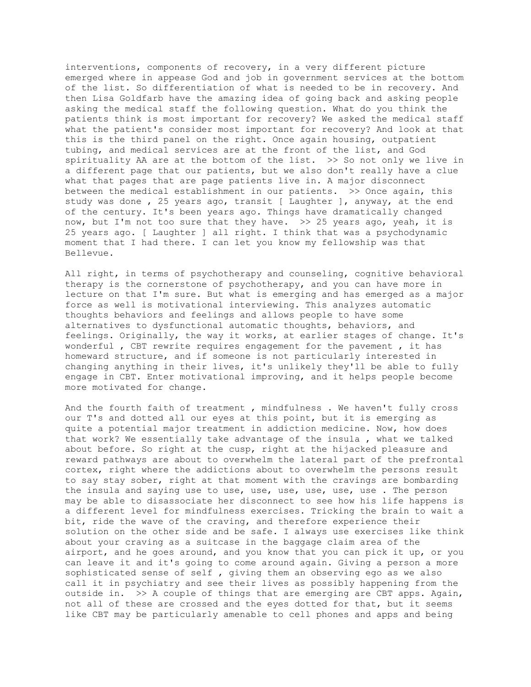interventions, components of recovery, in a very different picture emerged where in appease God and job in government services at the bottom of the list. So differentiation of what is needed to be in recovery. And then Lisa Goldfarb have the amazing idea of going back and asking people asking the medical staff the following question. What do you think the patients think is most important for recovery? We asked the medical staff what the patient's consider most important for recovery? And look at that this is the third panel on the right. Once again housing, outpatient tubing, and medical services are at the front of the list, and God spirituality AA are at the bottom of the list. >> So not only we live in a different page that our patients, but we also don't really have a clue what that pages that are page patients live in. A major disconnect between the medical establishment in our patients. >> Once again, this study was done , 25 years ago, transit [ Laughter ], anyway, at the end of the century. It's been years ago. Things have dramatically changed now, but I'm not too sure that they have.  $>> 25$  years ago, yeah, it is 25 years ago. [ Laughter ] all right. I think that was a psychodynamic moment that I had there. I can let you know my fellowship was that Bellevue.

All right, in terms of psychotherapy and counseling, cognitive behavioral therapy is the cornerstone of psychotherapy, and you can have more in lecture on that I'm sure. But what is emerging and has emerged as a major force as well is motivational interviewing. This analyzes automatic thoughts behaviors and feelings and allows people to have some alternatives to dysfunctional automatic thoughts, behaviors, and feelings. Originally, the way it works, at earlier stages of change. It's wonderful , CBT rewrite requires engagement for the pavement , it has homeward structure, and if someone is not particularly interested in changing anything in their lives, it's unlikely they'll be able to fully engage in CBT. Enter motivational improving, and it helps people become more motivated for change.

And the fourth faith of treatment , mindfulness . We haven't fully cross our T's and dotted all our eyes at this point, but it is emerging as quite a potential major treatment in addiction medicine. Now, how does that work? We essentially take advantage of the insula , what we talked about before. So right at the cusp, right at the hijacked pleasure and reward pathways are about to overwhelm the lateral part of the prefrontal cortex, right where the addictions about to overwhelm the persons result to say stay sober, right at that moment with the cravings are bombarding the insula and saying use to use, use, use, use, use, use . The person may be able to disassociate her disconnect to see how his life happens is a different level for mindfulness exercises. Tricking the brain to wait a bit, ride the wave of the craving, and therefore experience their solution on the other side and be safe. I always use exercises like think about your craving as a suitcase in the baggage claim area of the airport, and he goes around, and you know that you can pick it up, or you can leave it and it's going to come around again. Giving a person a more sophisticated sense of self , giving them an observing ego as we also call it in psychiatry and see their lives as possibly happening from the outside in. >> A couple of things that are emerging are CBT apps. Again, not all of these are crossed and the eyes dotted for that, but it seems like CBT may be particularly amenable to cell phones and apps and being